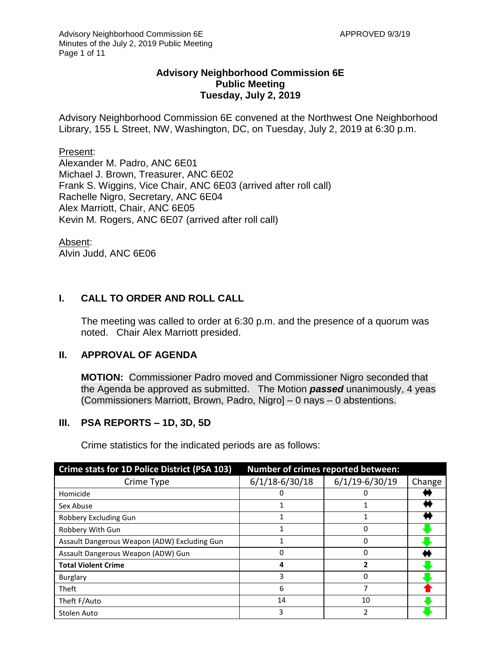#### **Advisory Neighborhood Commission 6E Public Meeting Tuesday, July 2, 2019**

Advisory Neighborhood Commission 6E convened at the Northwest One Neighborhood Library, 155 L Street, NW, Washington, DC, on Tuesday, July 2, 2019 at 6:30 p.m.

#### Present:

Alexander M. Padro, ANC 6E01 Michael J. Brown, Treasurer, ANC 6E02 Frank S. Wiggins, Vice Chair, ANC 6E03 (arrived after roll call) Rachelle Nigro, Secretary, ANC 6E04 Alex Marriott, Chair, ANC 6E05 Kevin M. Rogers, ANC 6E07 (arrived after roll call)

Absent: Alvin Judd, ANC 6E06

## **I. CALL TO ORDER AND ROLL CALL**

The meeting was called to order at 6:30 p.m. and the presence of a quorum was noted. Chair Alex Marriott presided.

#### **II. APPROVAL OF AGENDA**

**MOTION:** Commissioner Padro moved and Commissioner Nigro seconded that the Agenda be approved as submitted. The Motion *passed* unanimously, 4 yeas (Commissioners Marriott, Brown, Padro, Nigro] – 0 nays – 0 abstentions.

#### **III. PSA REPORTS – 1D, 3D, 5D**

Crime statistics for the indicated periods are as follows:

| Crime stats for 1D Police District (PSA 103) | <b>Number of crimes reported between:</b> |                    |        |
|----------------------------------------------|-------------------------------------------|--------------------|--------|
| Crime Type                                   | $6/1/18 - 6/30/18$                        | $6/1/19 - 6/30/19$ | Change |
| Homicide                                     |                                           |                    |        |
| Sex Abuse                                    |                                           |                    |        |
| Robbery Excluding Gun                        |                                           |                    |        |
| Robbery With Gun                             |                                           | 0                  |        |
| Assault Dangerous Weapon (ADW) Excluding Gun |                                           | O                  |        |
| Assault Dangerous Weapon (ADW) Gun           |                                           | O                  |        |
| <b>Total Violent Crime</b>                   | 4                                         | 7                  |        |
| Burglary                                     | 3                                         | O                  |        |
| Theft                                        | 6                                         | 7                  |        |
| Theft F/Auto                                 | 14                                        | 10                 |        |
| Stolen Auto                                  | 3                                         |                    |        |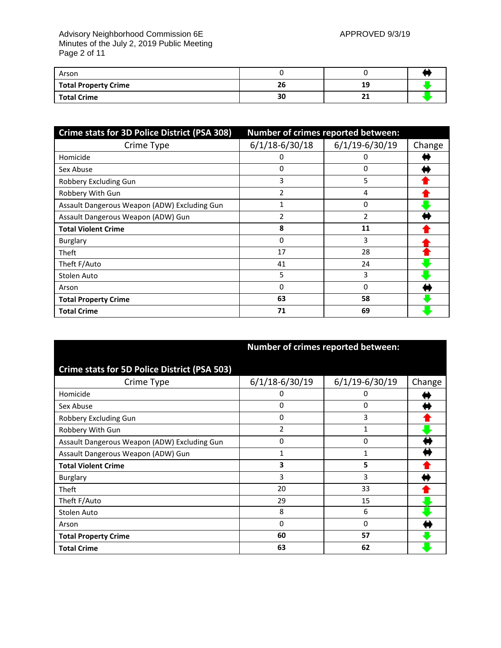#### Advisory Neighborhood Commission 6E APPROVED 9/3/19 Minutes of the July 2, 2019 Public Meeting Page 2 of 11

| Arson                       |    |    |  |
|-----------------------------|----|----|--|
| <b>Total Property Crime</b> | 26 | 19 |  |
| <b>Total Crime</b>          | 30 |    |  |

| Crime stats for 3D Police District (PSA 308) | Number of crimes reported between: |                    |        |
|----------------------------------------------|------------------------------------|--------------------|--------|
| Crime Type                                   | $6/1/18 - 6/30/18$                 | $6/1/19 - 6/30/19$ | Change |
| Homicide                                     | 0                                  | 0                  |        |
| Sex Abuse                                    | 0                                  | 0                  |        |
| Robbery Excluding Gun                        | 3                                  | 5                  |        |
| Robbery With Gun                             | 2                                  | 4                  |        |
| Assault Dangerous Weapon (ADW) Excluding Gun |                                    | 0                  |        |
| Assault Dangerous Weapon (ADW) Gun           | 2                                  | 2                  |        |
| <b>Total Violent Crime</b>                   | 8                                  | 11                 |        |
| Burglary                                     | 0                                  | 3                  |        |
| Theft                                        | 17                                 | 28                 |        |
| Theft F/Auto                                 | 41                                 | 24                 |        |
| Stolen Auto                                  | 5                                  | 3                  |        |
| Arson                                        | 0                                  | 0                  |        |
| <b>Total Property Crime</b>                  | 63                                 | 58                 |        |
| <b>Total Crime</b>                           | 71                                 | 69                 |        |

|                                                     | Number of crimes reported between: |                    |        |
|-----------------------------------------------------|------------------------------------|--------------------|--------|
| <b>Crime stats for 5D Police District (PSA 503)</b> |                                    |                    |        |
| Crime Type                                          | $6/1/18 - 6/30/19$                 | $6/1/19 - 6/30/19$ | Change |
| Homicide                                            | 0                                  | 0                  |        |
| Sex Abuse                                           | 0                                  | 0                  |        |
| Robbery Excluding Gun                               | 0                                  | 3                  |        |
| Robbery With Gun                                    | 2                                  | 1                  |        |
| Assault Dangerous Weapon (ADW) Excluding Gun        | 0                                  | 0                  |        |
| Assault Dangerous Weapon (ADW) Gun                  | 1                                  | 1                  |        |
| <b>Total Violent Crime</b>                          | 3                                  | 5                  |        |
| Burglary                                            | 3                                  | 3                  |        |
| <b>Theft</b>                                        | 20                                 | 33                 |        |
| Theft F/Auto                                        | 29                                 | 15                 |        |
| Stolen Auto                                         | 8                                  | 6                  |        |
| Arson                                               | 0                                  | 0                  |        |
| <b>Total Property Crime</b>                         | 60                                 | 57                 |        |
| <b>Total Crime</b>                                  | 63                                 | 62                 |        |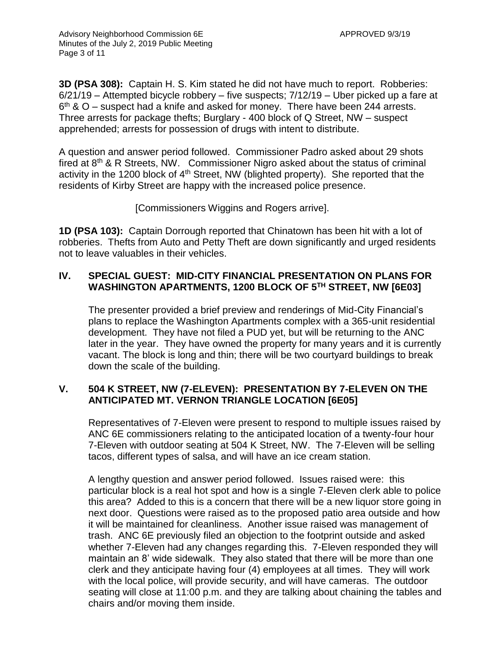**3D (PSA 308):** Captain H. S. Kim stated he did not have much to report. Robberies: 6/21/19 – Attempted bicycle robbery – five suspects; 7/12/19 – Uber picked up a fare at  $6<sup>th</sup>$  & O – suspect had a knife and asked for money. There have been 244 arrests. Three arrests for package thefts; Burglary - 400 block of Q Street, NW – suspect apprehended; arrests for possession of drugs with intent to distribute.

A question and answer period followed. Commissioner Padro asked about 29 shots fired at  $8<sup>th</sup>$  & R Streets, NW. Commissioner Nigro asked about the status of criminal activity in the 1200 block of 4<sup>th</sup> Street, NW (blighted property). She reported that the residents of Kirby Street are happy with the increased police presence.

[Commissioners Wiggins and Rogers arrive].

**1D (PSA 103):** Captain Dorrough reported that Chinatown has been hit with a lot of robberies. Thefts from Auto and Petty Theft are down significantly and urged residents not to leave valuables in their vehicles.

# **IV. SPECIAL GUEST: MID-CITY FINANCIAL PRESENTATION ON PLANS FOR WASHINGTON APARTMENTS, 1200 BLOCK OF 5TH STREET, NW [6E03]**

The presenter provided a brief preview and renderings of Mid-City Financial's plans to replace the Washington Apartments complex with a 365-unit residential development. They have not filed a PUD yet, but will be returning to the ANC later in the year. They have owned the property for many years and it is currently vacant. The block is long and thin; there will be two courtyard buildings to break down the scale of the building.

# **V. 504 K STREET, NW (7-ELEVEN): PRESENTATION BY 7-ELEVEN ON THE ANTICIPATED MT. VERNON TRIANGLE LOCATION [6E05]**

Representatives of 7-Eleven were present to respond to multiple issues raised by ANC 6E commissioners relating to the anticipated location of a twenty-four hour 7-Eleven with outdoor seating at 504 K Street, NW. The 7-Eleven will be selling tacos, different types of salsa, and will have an ice cream station.

A lengthy question and answer period followed. Issues raised were: this particular block is a real hot spot and how is a single 7-Eleven clerk able to police this area? Added to this is a concern that there will be a new liquor store going in next door. Questions were raised as to the proposed patio area outside and how it will be maintained for cleanliness. Another issue raised was management of trash. ANC 6E previously filed an objection to the footprint outside and asked whether 7-Eleven had any changes regarding this. 7-Eleven responded they will maintain an 8' wide sidewalk. They also stated that there will be more than one clerk and they anticipate having four (4) employees at all times. They will work with the local police, will provide security, and will have cameras. The outdoor seating will close at 11:00 p.m. and they are talking about chaining the tables and chairs and/or moving them inside.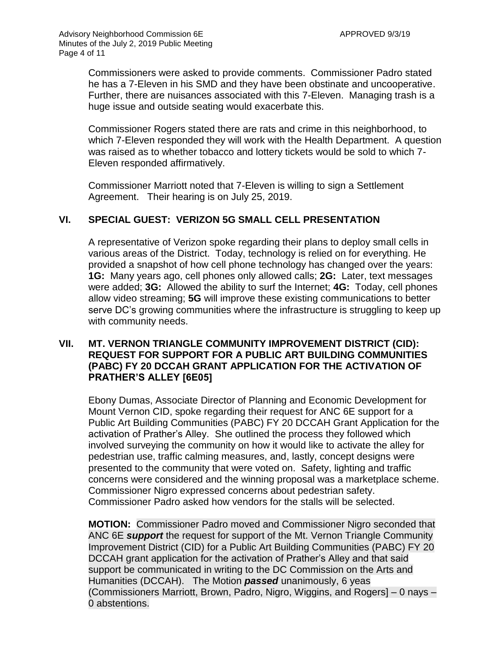Commissioners were asked to provide comments. Commissioner Padro stated he has a 7-Eleven in his SMD and they have been obstinate and uncooperative. Further, there are nuisances associated with this 7-Eleven. Managing trash is a huge issue and outside seating would exacerbate this.

Commissioner Rogers stated there are rats and crime in this neighborhood, to which 7-Eleven responded they will work with the Health Department. A question was raised as to whether tobacco and lottery tickets would be sold to which 7- Eleven responded affirmatively.

Commissioner Marriott noted that 7-Eleven is willing to sign a Settlement Agreement. Their hearing is on July 25, 2019.

# **VI. SPECIAL GUEST: VERIZON 5G SMALL CELL PRESENTATION**

A representative of Verizon spoke regarding their plans to deploy small cells in various areas of the District. Today, technology is relied on for everything. He provided a snapshot of how cell phone technology has changed over the years: **1G:** Many years ago, cell phones only allowed calls; **2G:** Later, text messages were added; **3G:** Allowed the ability to surf the Internet; **4G:** Today, cell phones allow video streaming; **5G** will improve these existing communications to better serve DC's growing communities where the infrastructure is struggling to keep up with community needs.

#### **VII. MT. VERNON TRIANGLE COMMUNITY IMPROVEMENT DISTRICT (CID): REQUEST FOR SUPPORT FOR A PUBLIC ART BUILDING COMMUNITIES (PABC) FY 20 DCCAH GRANT APPLICATION FOR THE ACTIVATION OF PRATHER'S ALLEY [6E05]**

Ebony Dumas, Associate Director of Planning and Economic Development for Mount Vernon CID, spoke regarding their request for ANC 6E support for a Public Art Building Communities (PABC) FY 20 DCCAH Grant Application for the activation of Prather's Alley. She outlined the process they followed which involved surveying the community on how it would like to activate the alley for pedestrian use, traffic calming measures, and, lastly, concept designs were presented to the community that were voted on. Safety, lighting and traffic concerns were considered and the winning proposal was a marketplace scheme. Commissioner Nigro expressed concerns about pedestrian safety. Commissioner Padro asked how vendors for the stalls will be selected.

**MOTION:** Commissioner Padro moved and Commissioner Nigro seconded that ANC 6E *support* the request for support of the Mt. Vernon Triangle Community Improvement District (CID) for a Public Art Building Communities (PABC) FY 20 DCCAH grant application for the activation of Prather's Alley and that said support be communicated in writing to the DC Commission on the Arts and Humanities (DCCAH). The Motion *passed* unanimously, 6 yeas (Commissioners Marriott, Brown, Padro, Nigro, Wiggins, and Rogers] – 0 nays – 0 abstentions.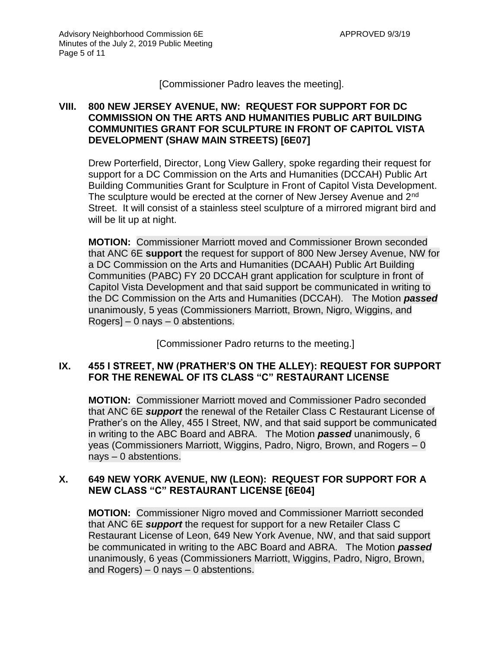[Commissioner Padro leaves the meeting].

#### **VIII. 800 NEW JERSEY AVENUE, NW: REQUEST FOR SUPPORT FOR DC COMMISSION ON THE ARTS AND HUMANITIES PUBLIC ART BUILDING COMMUNITIES GRANT FOR SCULPTURE IN FRONT OF CAPITOL VISTA DEVELOPMENT (SHAW MAIN STREETS) [6E07]**

Drew Porterfield, Director, Long View Gallery, spoke regarding their request for support for a DC Commission on the Arts and Humanities (DCCAH) Public Art Building Communities Grant for Sculpture in Front of Capitol Vista Development. The sculpture would be erected at the corner of New Jersey Avenue and 2<sup>nd</sup> Street. It will consist of a stainless steel sculpture of a mirrored migrant bird and will be lit up at night.

**MOTION:** Commissioner Marriott moved and Commissioner Brown seconded that ANC 6E **support** the request for support of 800 New Jersey Avenue, NW for a DC Commission on the Arts and Humanities (DCAAH) Public Art Building Communities (PABC) FY 20 DCCAH grant application for sculpture in front of Capitol Vista Development and that said support be communicated in writing to the DC Commission on the Arts and Humanities (DCCAH). The Motion *passed* unanimously, 5 yeas (Commissioners Marriott, Brown, Nigro, Wiggins, and Rogers]  $-0$  nays  $-0$  abstentions.

[Commissioner Padro returns to the meeting.]

# **IX. 455 I STREET, NW (PRATHER'S ON THE ALLEY): REQUEST FOR SUPPORT FOR THE RENEWAL OF ITS CLASS "C" RESTAURANT LICENSE**

**MOTION:** Commissioner Marriott moved and Commissioner Padro seconded that ANC 6E *support* the renewal of the Retailer Class C Restaurant License of Prather's on the Alley, 455 I Street, NW, and that said support be communicated in writing to the ABC Board and ABRA. The Motion *passed* unanimously, 6 yeas (Commissioners Marriott, Wiggins, Padro, Nigro, Brown, and Rogers – 0 nays – 0 abstentions.

## **X. 649 NEW YORK AVENUE, NW (LEON): REQUEST FOR SUPPORT FOR A NEW CLASS "C" RESTAURANT LICENSE [6E04]**

**MOTION:** Commissioner Nigro moved and Commissioner Marriott seconded that ANC 6E *support* the request for support for a new Retailer Class C Restaurant License of Leon, 649 New York Avenue, NW, and that said support be communicated in writing to the ABC Board and ABRA. The Motion *passed* unanimously, 6 yeas (Commissioners Marriott, Wiggins, Padro, Nigro, Brown, and Rogers)  $-0$  nays  $-0$  abstentions.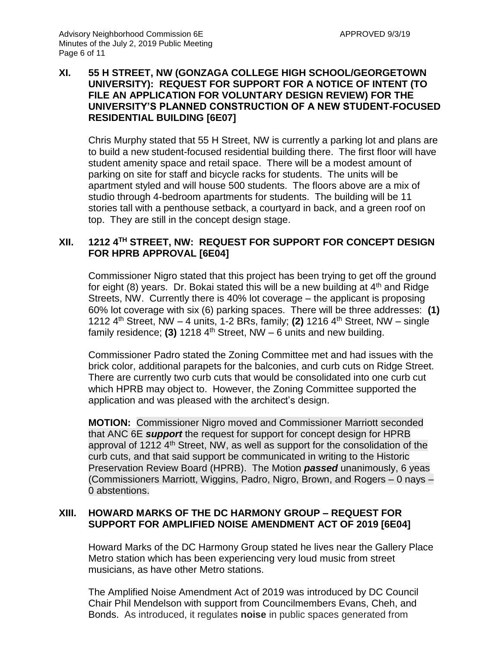#### **XI. 55 H STREET, NW (GONZAGA COLLEGE HIGH SCHOOL/GEORGETOWN UNIVERSITY): REQUEST FOR SUPPORT FOR A NOTICE OF INTENT (TO FILE AN APPLICATION FOR VOLUNTARY DESIGN REVIEW) FOR THE UNIVERSITY'S PLANNED CONSTRUCTION OF A NEW STUDENT-FOCUSED RESIDENTIAL BUILDING [6E07]**

Chris Murphy stated that 55 H Street, NW is currently a parking lot and plans are to build a new student-focused residential building there. The first floor will have student amenity space and retail space. There will be a modest amount of parking on site for staff and bicycle racks for students. The units will be apartment styled and will house 500 students. The floors above are a mix of studio through 4-bedroom apartments for students. The building will be 11 stories tall with a penthouse setback, a courtyard in back, and a green roof on top. They are still in the concept design stage.

#### **XII. 1212 4TH STREET, NW: REQUEST FOR SUPPORT FOR CONCEPT DESIGN FOR HPRB APPROVAL [6E04]**

Commissioner Nigro stated that this project has been trying to get off the ground for eight (8) years. Dr. Bokai stated this will be a new building at  $4<sup>th</sup>$  and Ridge Streets, NW. Currently there is 40% lot coverage – the applicant is proposing 60% lot coverage with six (6) parking spaces. There will be three addresses: **(1)** 1212 4th Street, NW – 4 units, 1-2 BRs, family; **(2)** 1216 4th Street, NW – single family residence; **(3)** 1218  $4<sup>th</sup>$  Street, NW – 6 units and new building.

Commissioner Padro stated the Zoning Committee met and had issues with the brick color, additional parapets for the balconies, and curb cuts on Ridge Street. There are currently two curb cuts that would be consolidated into one curb cut which HPRB may object to. However, the Zoning Committee supported the application and was pleased with the architect's design.

**MOTION:** Commissioner Nigro moved and Commissioner Marriott seconded that ANC 6E *support* the request for support for concept design for HPRB approval of 1212  $4<sup>th</sup>$  Street, NW, as well as support for the consolidation of the curb cuts, and that said support be communicated in writing to the Historic Preservation Review Board (HPRB). The Motion *passed* unanimously, 6 yeas (Commissioners Marriott, Wiggins, Padro, Nigro, Brown, and Rogers – 0 nays – 0 abstentions.

#### **XIII. HOWARD MARKS OF THE DC HARMONY GROUP – REQUEST FOR SUPPORT FOR AMPLIFIED NOISE AMENDMENT ACT OF 2019 [6E04]**

Howard Marks of the DC Harmony Group stated he lives near the Gallery Place Metro station which has been experiencing very loud music from street musicians, as have other Metro stations.

The Amplified Noise Amendment Act of 2019 was introduced by DC Council Chair Phil Mendelson with support from Councilmembers Evans, Cheh, and Bonds. As introduced, it regulates **noise** in public spaces generated from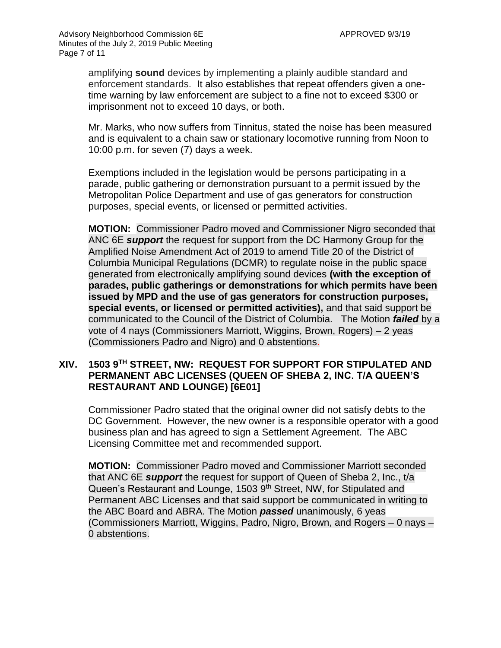amplifying **sound** devices by implementing a plainly audible standard and enforcement standards.It also establishes that repeat offenders given a onetime warning by law enforcement are subject to a fine not to exceed \$300 or imprisonment not to exceed 10 days, or both.

Mr. Marks, who now suffers from Tinnitus, stated the noise has been measured and is equivalent to a chain saw or stationary locomotive running from Noon to 10:00 p.m. for seven (7) days a week.

Exemptions included in the legislation would be persons participating in a parade, public gathering or demonstration pursuant to a permit issued by the Metropolitan Police Department and use of gas generators for construction purposes, special events, or licensed or permitted activities.

**MOTION:** Commissioner Padro moved and Commissioner Nigro seconded that ANC 6E *support* the request for support from the DC Harmony Group for the Amplified Noise Amendment Act of 2019 to amend Title 20 of the District of Columbia Municipal Regulations (DCMR) to regulate noise in the public space generated from electronically amplifying sound devices **(with the exception of parades, public gatherings or demonstrations for which permits have been issued by MPD and the use of gas generators for construction purposes, special events, or licensed or permitted activities),** and that said support be communicated to the Council of the District of Columbia. The Motion *failed* by a vote of 4 nays (Commissioners Marriott, Wiggins, Brown, Rogers) – 2 yeas (Commissioners Padro and Nigro) and 0 abstentions.

#### **XIV. 1503 9TH STREET, NW: REQUEST FOR SUPPORT FOR STIPULATED AND PERMANENT ABC LICENSES (QUEEN OF SHEBA 2, INC. T/A QUEEN'S RESTAURANT AND LOUNGE) [6E01]**

Commissioner Padro stated that the original owner did not satisfy debts to the DC Government. However, the new owner is a responsible operator with a good business plan and has agreed to sign a Settlement Agreement. The ABC Licensing Committee met and recommended support.

**MOTION:** Commissioner Padro moved and Commissioner Marriott seconded that ANC 6E *support* the request for support of Queen of Sheba 2, Inc., t/a Queen's Restaurant and Lounge, 1503 9<sup>th</sup> Street, NW, for Stipulated and Permanent ABC Licenses and that said support be communicated in writing to the ABC Board and ABRA. The Motion *passed* unanimously, 6 yeas (Commissioners Marriott, Wiggins, Padro, Nigro, Brown, and Rogers – 0 nays – 0 abstentions.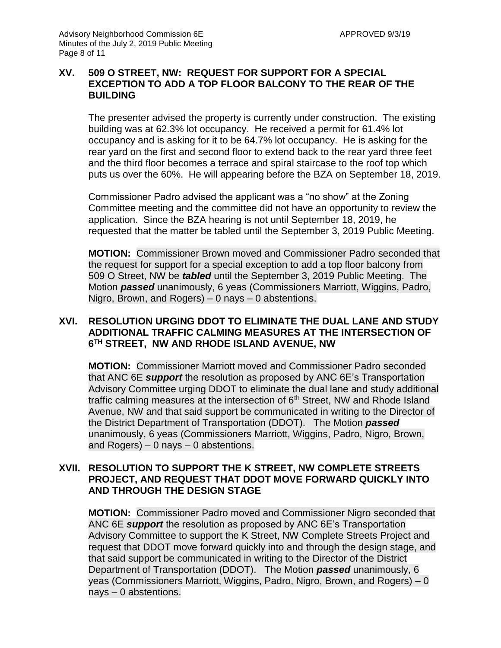#### **XV. 509 O STREET, NW: REQUEST FOR SUPPORT FOR A SPECIAL EXCEPTION TO ADD A TOP FLOOR BALCONY TO THE REAR OF THE BUILDING**

The presenter advised the property is currently under construction. The existing building was at 62.3% lot occupancy. He received a permit for 61.4% lot occupancy and is asking for it to be 64.7% lot occupancy. He is asking for the rear yard on the first and second floor to extend back to the rear yard three feet and the third floor becomes a terrace and spiral staircase to the roof top which puts us over the 60%. He will appearing before the BZA on September 18, 2019.

Commissioner Padro advised the applicant was a "no show" at the Zoning Committee meeting and the committee did not have an opportunity to review the application. Since the BZA hearing is not until September 18, 2019, he requested that the matter be tabled until the September 3, 2019 Public Meeting.

**MOTION:** Commissioner Brown moved and Commissioner Padro seconded that the request for support for a special exception to add a top floor balcony from 509 O Street, NW be *tabled* until the September 3, 2019 Public Meeting. The Motion *passed* unanimously, 6 yeas (Commissioners Marriott, Wiggins, Padro, Nigro, Brown, and Rogers) – 0 nays – 0 abstentions.

#### **XVI. RESOLUTION URGING DDOT TO ELIMINATE THE DUAL LANE AND STUDY ADDITIONAL TRAFFIC CALMING MEASURES AT THE INTERSECTION OF 6 TH STREET, NW AND RHODE ISLAND AVENUE, NW**

**MOTION:** Commissioner Marriott moved and Commissioner Padro seconded that ANC 6E *support* the resolution as proposed by ANC 6E's Transportation Advisory Committee urging DDOT to eliminate the dual lane and study additional traffic calming measures at the intersection of  $6<sup>th</sup>$  Street, NW and Rhode Island Avenue, NW and that said support be communicated in writing to the Director of the District Department of Transportation (DDOT). The Motion *passed* unanimously, 6 yeas (Commissioners Marriott, Wiggins, Padro, Nigro, Brown, and Rogers)  $-0$  nays  $-0$  abstentions.

#### **XVII. RESOLUTION TO SUPPORT THE K STREET, NW COMPLETE STREETS PROJECT, AND REQUEST THAT DDOT MOVE FORWARD QUICKLY INTO AND THROUGH THE DESIGN STAGE**

**MOTION:** Commissioner Padro moved and Commissioner Nigro seconded that ANC 6E *support* the resolution as proposed by ANC 6E's Transportation Advisory Committee to support the K Street, NW Complete Streets Project and request that DDOT move forward quickly into and through the design stage, and that said support be communicated in writing to the Director of the District Department of Transportation (DDOT). The Motion *passed* unanimously, 6 yeas (Commissioners Marriott, Wiggins, Padro, Nigro, Brown, and Rogers) – 0 nays – 0 abstentions.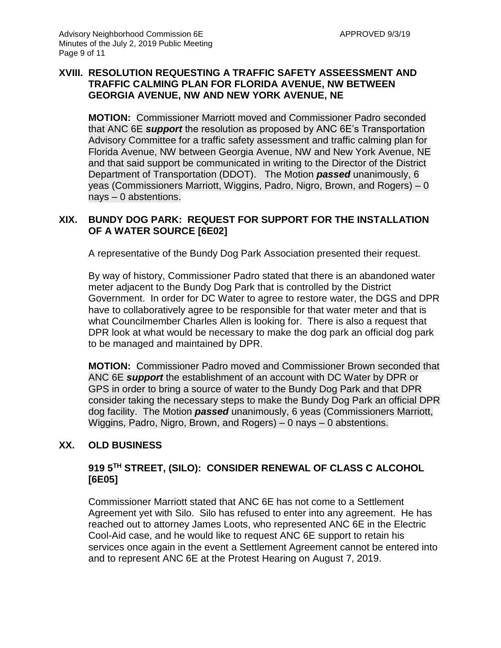#### **XVIII. RESOLUTION REQUESTING A TRAFFIC SAFETY ASSEESSMENT AND TRAFFIC CALMING PLAN FOR FLORIDA AVENUE, NW BETWEEN GEORGIA AVENUE, NW AND NEW YORK AVENUE, NE**

**MOTION:** Commissioner Marriott moved and Commissioner Padro seconded that ANC 6E *support* the resolution as proposed by ANC 6E's Transportation Advisory Committee for a traffic safety assessment and traffic calming plan for Florida Avenue, NW between Georgia Avenue, NW and New York Avenue, NE and that said support be communicated in writing to the Director of the District Department of Transportation (DDOT). The Motion *passed* unanimously, 6 yeas (Commissioners Marriott, Wiggins, Padro, Nigro, Brown, and Rogers) – 0 nays – 0 abstentions.

## **XIX. BUNDY DOG PARK: REQUEST FOR SUPPORT FOR THE INSTALLATION OF A WATER SOURCE [6E02]**

A representative of the Bundy Dog Park Association presented their request.

By way of history, Commissioner Padro stated that there is an abandoned water meter adjacent to the Bundy Dog Park that is controlled by the District Government. In order for DC Water to agree to restore water, the DGS and DPR have to collaboratively agree to be responsible for that water meter and that is what Councilmember Charles Allen is looking for. There is also a request that DPR look at what would be necessary to make the dog park an official dog park to be managed and maintained by DPR.

**MOTION:** Commissioner Padro moved and Commissioner Brown seconded that ANC 6E *support* the establishment of an account with DC Water by DPR or GPS in order to bring a source of water to the Bundy Dog Park and that DPR consider taking the necessary steps to make the Bundy Dog Park an official DPR dog facility. The Motion *passed* unanimously, 6 yeas (Commissioners Marriott, Wiggins, Padro, Nigro, Brown, and Rogers) – 0 nays – 0 abstentions.

#### **XX. OLD BUSINESS**

# **919 5TH STREET, (SILO): CONSIDER RENEWAL OF CLASS C ALCOHOL [6E05]**

Commissioner Marriott stated that ANC 6E has not come to a Settlement Agreement yet with Silo. Silo has refused to enter into any agreement. He has reached out to attorney James Loots, who represented ANC 6E in the Electric Cool-Aid case, and he would like to request ANC 6E support to retain his services once again in the event a Settlement Agreement cannot be entered into and to represent ANC 6E at the Protest Hearing on August 7, 2019.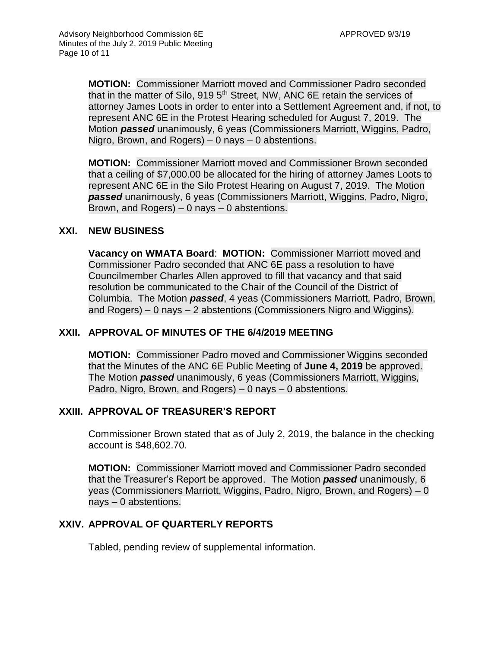**MOTION:** Commissioner Marriott moved and Commissioner Padro seconded that in the matter of Silo, 919 5<sup>th</sup> Street, NW, ANC 6E retain the services of attorney James Loots in order to enter into a Settlement Agreement and, if not, to represent ANC 6E in the Protest Hearing scheduled for August 7, 2019. The Motion *passed* unanimously, 6 yeas (Commissioners Marriott, Wiggins, Padro, Nigro, Brown, and Rogers) – 0 nays – 0 abstentions.

**MOTION:** Commissioner Marriott moved and Commissioner Brown seconded that a ceiling of \$7,000.00 be allocated for the hiring of attorney James Loots to represent ANC 6E in the Silo Protest Hearing on August 7, 2019. The Motion *passed* unanimously, 6 yeas (Commissioners Marriott, Wiggins, Padro, Nigro, Brown, and Rogers)  $-0$  nays  $-0$  abstentions.

#### **XXI. NEW BUSINESS**

**Vacancy on WMATA Board**: **MOTION:** Commissioner Marriott moved and Commissioner Padro seconded that ANC 6E pass a resolution to have Councilmember Charles Allen approved to fill that vacancy and that said resolution be communicated to the Chair of the Council of the District of Columbia. The Motion *passed*, 4 yeas (Commissioners Marriott, Padro, Brown, and Rogers) – 0 nays – 2 abstentions (Commissioners Nigro and Wiggins).

#### **XXII. APPROVAL OF MINUTES OF THE 6/4/2019 MEETING**

**MOTION:** Commissioner Padro moved and Commissioner Wiggins seconded that the Minutes of the ANC 6E Public Meeting of **June 4, 2019** be approved. The Motion *passed* unanimously, 6 yeas (Commissioners Marriott, Wiggins, Padro, Nigro, Brown, and Rogers) – 0 nays – 0 abstentions.

#### **XXIII. APPROVAL OF TREASURER'S REPORT**

Commissioner Brown stated that as of July 2, 2019, the balance in the checking account is \$48,602.70.

**MOTION:** Commissioner Marriott moved and Commissioner Padro seconded that the Treasurer's Report be approved. The Motion *passed* unanimously, 6 yeas (Commissioners Marriott, Wiggins, Padro, Nigro, Brown, and Rogers) – 0 nays – 0 abstentions.

#### **XXIV. APPROVAL OF QUARTERLY REPORTS**

Tabled, pending review of supplemental information.